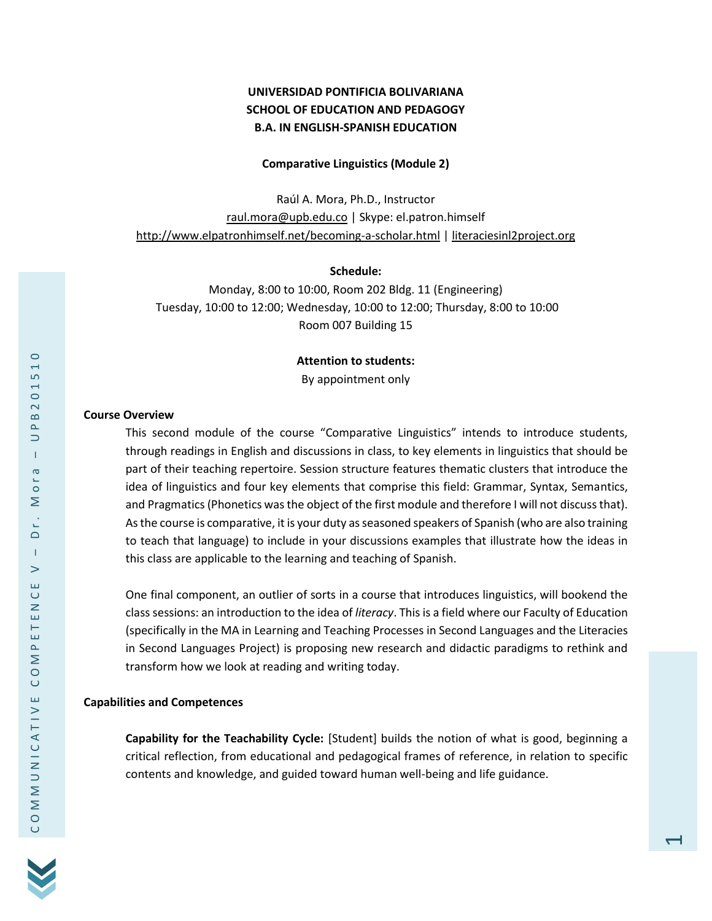# **UNIVERSIDAD PONTIFICIA BOLIVARIANA SCHOOL OF EDUCATION AND PEDAGOGY B.A. IN ENGLISH-SPANISH EDUCATION**

### **Comparative Linguistics (Module 2)**

Raúl A. Mora, Ph.D., Instructor [raul.mora@upb.edu.co](mailto:raul.mora@upb.edu.co) | Skype: el.patron.himself <http://www.elpatronhimself.net/becoming-a-scholar.html> [| literaciesinl2project.org](file:///D:/Dropbox/Dropbox/A%20El%20Patron)

#### **Schedule:**

Monday, 8:00 to 10:00, Room 202 Bldg. 11 (Engineering) Tuesday, 10:00 to 12:00; Wednesday, 10:00 to 12:00; Thursday, 8:00 to 10:00 Room 007 Building 15

#### **Attention to students:**

By appointment only

### **Course Overview**

This second module of the course "Comparative Linguistics" intends to introduce students, through readings in English and discussions in class, to key elements in linguistics that should be part of their teaching repertoire. Session structure features thematic clusters that introduce the idea of linguistics and four key elements that comprise this field: Grammar, Syntax, Semantics, and Pragmatics (Phonetics was the object of the first module and therefore I will not discuss that). As the course is comparative, it is your duty as seasoned speakers of Spanish (who are also training to teach that language) to include in your discussions examples that illustrate how the ideas in this class are applicable to the learning and teaching of Spanish.

One final component, an outlier of sorts in a course that introduces linguistics, will bookend the class sessions: an introduction to the idea of *literacy*. This is a field where our Faculty of Education (specifically in the MA in Learning and Teaching Processes in Second Languages and the Literacies in Second Languages Project) is proposing new research and didactic paradigms to rethink and transform how we look at reading and writing today.

### **Capabilities and Competences**

**Capability for the Teachability Cycle:** [Student] builds the notion of what is good, beginning a critical reflection, from educational and pedagogical frames of reference, in relation to specific contents and knowledge, and guided toward human well-being and life guidance.

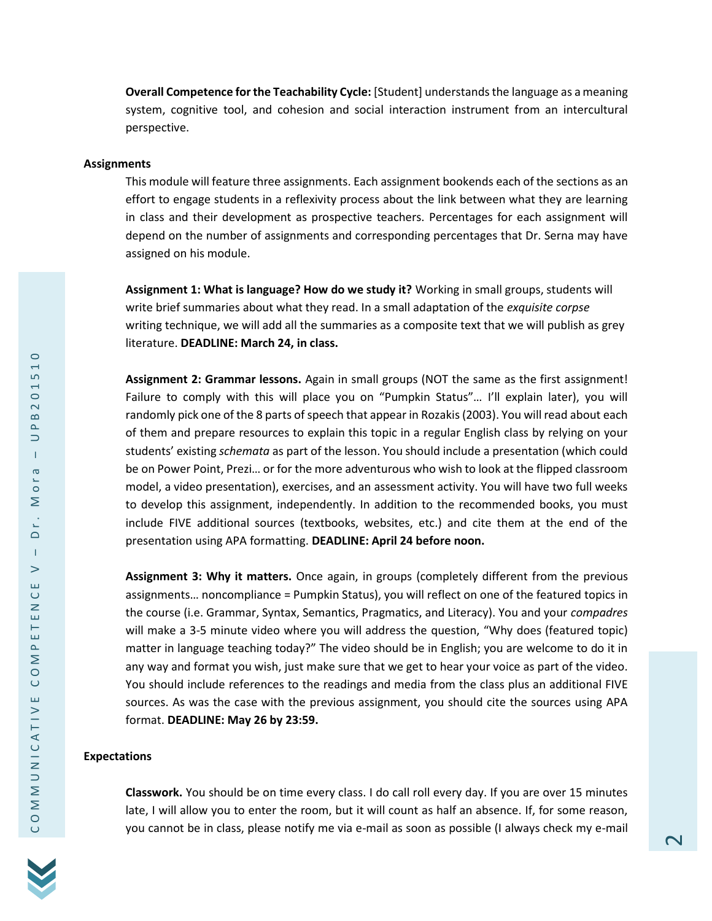**Overall Competence for the Teachability Cycle:** [Student] understands the language as a meaning system, cognitive tool, and cohesion and social interaction instrument from an intercultural perspective.

#### **Assignments**

This module will feature three assignments. Each assignment bookends each of the sections as an effort to engage students in a reflexivity process about the link between what they are learning in class and their development as prospective teachers. Percentages for each assignment will depend on the number of assignments and corresponding percentages that Dr. Serna may have assigned on his module.

**Assignment 1: What is language? How do we study it?** Working in small groups, students will write brief summaries about what they read. In a small adaptation of the *exquisite corpse* writing technique, we will add all the summaries as a composite text that we will publish as grey literature. **DEADLINE: March 24, in class.**

**Assignment 2: Grammar lessons.** Again in small groups (NOT the same as the first assignment! Failure to comply with this will place you on "Pumpkin Status"… I'll explain later), you will randomly pick one of the 8 parts of speech that appear in Rozakis (2003). You will read about each of them and prepare resources to explain this topic in a regular English class by relying on your students' existing *schemata* as part of the lesson. You should include a presentation (which could be on Power Point, Prezi… or for the more adventurous who wish to look at the flipped classroom model, a video presentation), exercises, and an assessment activity. You will have two full weeks to develop this assignment, independently. In addition to the recommended books, you must include FIVE additional sources (textbooks, websites, etc.) and cite them at the end of the presentation using APA formatting. **DEADLINE: April 24 before noon.**

**Assignment 3: Why it matters.** Once again, in groups (completely different from the previous assignments… noncompliance = Pumpkin Status), you will reflect on one of the featured topics in the course (i.e. Grammar, Syntax, Semantics, Pragmatics, and Literacy). You and your *compadres* will make a 3-5 minute video where you will address the question, "Why does (featured topic) matter in language teaching today?" The video should be in English; you are welcome to do it in any way and format you wish, just make sure that we get to hear your voice as part of the video. You should include references to the readings and media from the class plus an additional FIVE sources. As was the case with the previous assignment, you should cite the sources using APA format. **DEADLINE: May 26 by 23:59.**

### **Expectations**

**Classwork.** You should be on time every class. I do call roll every day. If you are over 15 minutes late, I will allow you to enter the room, but it will count as half an absence. If, for some reason, you cannot be in class, please notify me via e-mail as soon as possible (I always check my e-mail

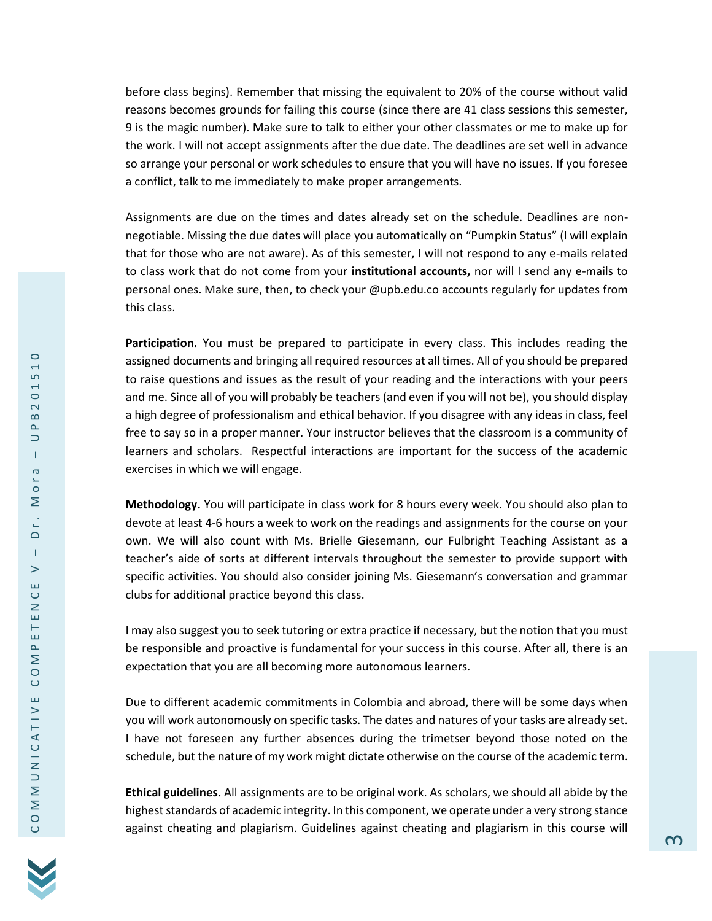before class begins). Remember that missing the equivalent to 20% of the course without valid reasons becomes grounds for failing this course (since there are 41 class sessions this semester, 9 is the magic number). Make sure to talk to either your other classmates or me to make up for the work. I will not accept assignments after the due date. The deadlines are set well in advance so arrange your personal or work schedules to ensure that you will have no issues. If you foresee a conflict, talk to me immediately to make proper arrangements.

Assignments are due on the times and dates already set on the schedule. Deadlines are nonnegotiable. Missing the due dates will place you automatically on "Pumpkin Status" (I will explain that for those who are not aware). As of this semester, I will not respond to any e-mails related to class work that do not come from your **institutional accounts,** nor will I send any e-mails to personal ones. Make sure, then, to check your @upb.edu.co accounts regularly for updates from this class.

**Participation.** You must be prepared to participate in every class. This includes reading the assigned documents and bringing all required resources at all times. All of you should be prepared to raise questions and issues as the result of your reading and the interactions with your peers and me. Since all of you will probably be teachers (and even if you will not be), you should display a high degree of professionalism and ethical behavior. If you disagree with any ideas in class, feel free to say so in a proper manner. Your instructor believes that the classroom is a community of learners and scholars. Respectful interactions are important for the success of the academic exercises in which we will engage.

**Methodology.** You will participate in class work for 8 hours every week. You should also plan to devote at least 4-6 hours a week to work on the readings and assignments for the course on your own. We will also count with Ms. Brielle Giesemann, our Fulbright Teaching Assistant as a teacher's aide of sorts at different intervals throughout the semester to provide support with specific activities. You should also consider joining Ms. Giesemann's conversation and grammar clubs for additional practice beyond this class.

I may also suggest you to seek tutoring or extra practice if necessary, but the notion that you must be responsible and proactive is fundamental for your success in this course. After all, there is an expectation that you are all becoming more autonomous learners.

Due to different academic commitments in Colombia and abroad, there will be some days when you will work autonomously on specific tasks. The dates and natures of your tasks are already set. I have not foreseen any further absences during the trimetser beyond those noted on the schedule, but the nature of my work might dictate otherwise on the course of the academic term.

**Ethical guidelines.** All assignments are to be original work. As scholars, we should all abide by the highest standards of academic integrity. In this component, we operate under a very strong stance against cheating and plagiarism. Guidelines against cheating and plagiarism in this course will

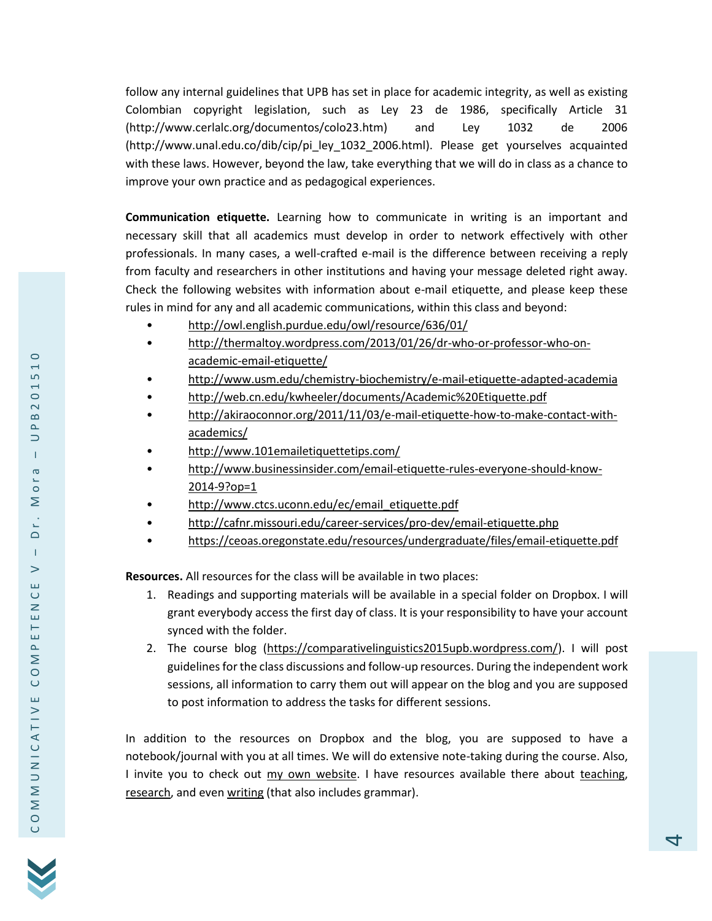follow any internal guidelines that UPB has set in place for academic integrity, as well as existing Colombian copyright legislation, such as Ley 23 de 1986, specifically Article 31 (http://www.cerlalc.org/documentos/colo23.htm) and Ley 1032 de 2006 (http://www.unal.edu.co/dib/cip/pi\_ley\_1032\_2006.html). Please get yourselves acquainted with these laws. However, beyond the law, take everything that we will do in class as a chance to improve your own practice and as pedagogical experiences.

**Communication etiquette.** Learning how to communicate in writing is an important and necessary skill that all academics must develop in order to network effectively with other professionals. In many cases, a well-crafted e-mail is the difference between receiving a reply from faculty and researchers in other institutions and having your message deleted right away. Check the following websites with information about e-mail etiquette, and please keep these rules in mind for any and all academic communications, within this class and beyond:

- <http://owl.english.purdue.edu/owl/resource/636/01/>
- [http://thermaltoy.wordpress.com/2013/01/26/dr-who-or-professor-who-on](http://thermaltoy.wordpress.com/2013/01/26/dr-who-or-professor-who-on-academic-email-etiquette/)[academic-email-etiquette/](http://thermaltoy.wordpress.com/2013/01/26/dr-who-or-professor-who-on-academic-email-etiquette/)
- <http://www.usm.edu/chemistry-biochemistry/e-mail-etiquette-adapted-academia>
- <http://web.cn.edu/kwheeler/documents/Academic%20Etiquette.pdf>
- [http://akiraoconnor.org/2011/11/03/e-mail-etiquette-how-to-make-contact-with](http://akiraoconnor.org/2011/11/03/e-mail-etiquette-how-to-make-contact-with-academics/)[academics/](http://akiraoconnor.org/2011/11/03/e-mail-etiquette-how-to-make-contact-with-academics/)
- <http://www.101emailetiquettetips.com/>
- [http://www.businessinsider.com/email-etiquette-rules-everyone-should-know-](http://www.businessinsider.com/email-etiquette-rules-everyone-should-know-2014-9?op=1)[2014-9?op=1](http://www.businessinsider.com/email-etiquette-rules-everyone-should-know-2014-9?op=1)
- [http://www.ctcs.uconn.edu/ec/email\\_etiquette.pdf](http://www.ctcs.uconn.edu/ec/email_etiquette.pdf)
- <http://cafnr.missouri.edu/career-services/pro-dev/email-etiquette.php>
- <https://ceoas.oregonstate.edu/resources/undergraduate/files/email-etiquette.pdf>

**Resources.** All resources for the class will be available in two places:

- 1. Readings and supporting materials will be available in a special folder on Dropbox. I will grant everybody access the first day of class. It is your responsibility to have your account synced with the folder.
- 2. The course blog [\(https://comparativelinguistics2015upb.wordpress.com/\)](https://comparativelinguistics2015upb.wordpress.com/). I will post guidelines for the class discussions and follow-up resources. During the independent work sessions, all information to carry them out will appear on the blog and you are supposed to post information to address the tasks for different sessions.

In addition to the resources on Dropbox and the blog, you are supposed to have a notebook/journal with you at all times. We will do extensive note-taking during the course. Also, I invite you to check out [my own website.](file:///D:/Dropbox/Dropbox/A%20El%20Patron) I have resources available there about [teaching,](http://www.elpatronhimself.net/teaching.html) [research,](http://www.elpatronhimself.net/research.html) and even [writing](http://www.elpatronhimself.net/about-writing.html) (that also includes grammar).

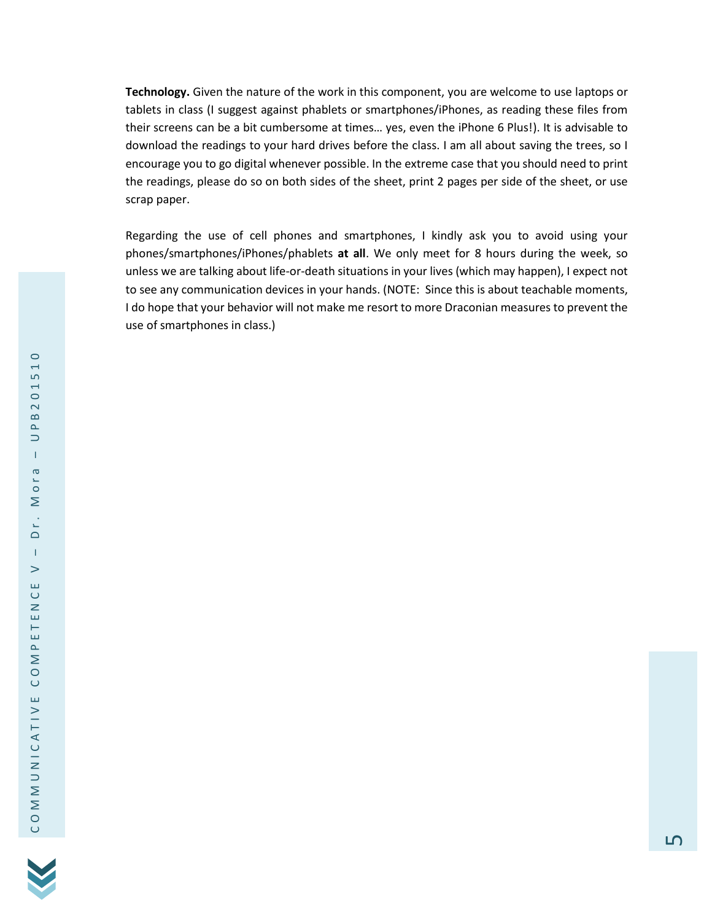**Technology.** Given the nature of the work in this component, you are welcome to use laptops or tablets in class (I suggest against phablets or smartphones/iPhones, as reading these files from their screens can be a bit cumbersome at times… yes, even the iPhone 6 Plus!). It is advisable to download the readings to your hard drives before the class. I am all about saving the trees, so I encourage you to go digital whenever possible. In the extreme case that you should need to print the readings, please do so on both sides of the sheet, print 2 pages per side of the sheet, or use scrap paper.

Regarding the use of cell phones and smartphones, I kindly ask you to avoid using your phones/smartphones/iPhones/phablets **at all**. We only meet for 8 hours during the week, so unless we are talking about life-or-death situations in your lives (which may happen), I expect not to see any communication devices in your hands. (NOTE: Since this is about teachable moments, I do hope that your behavior will not make me resort to more Draconian measures to prevent the use of smartphones in class.)

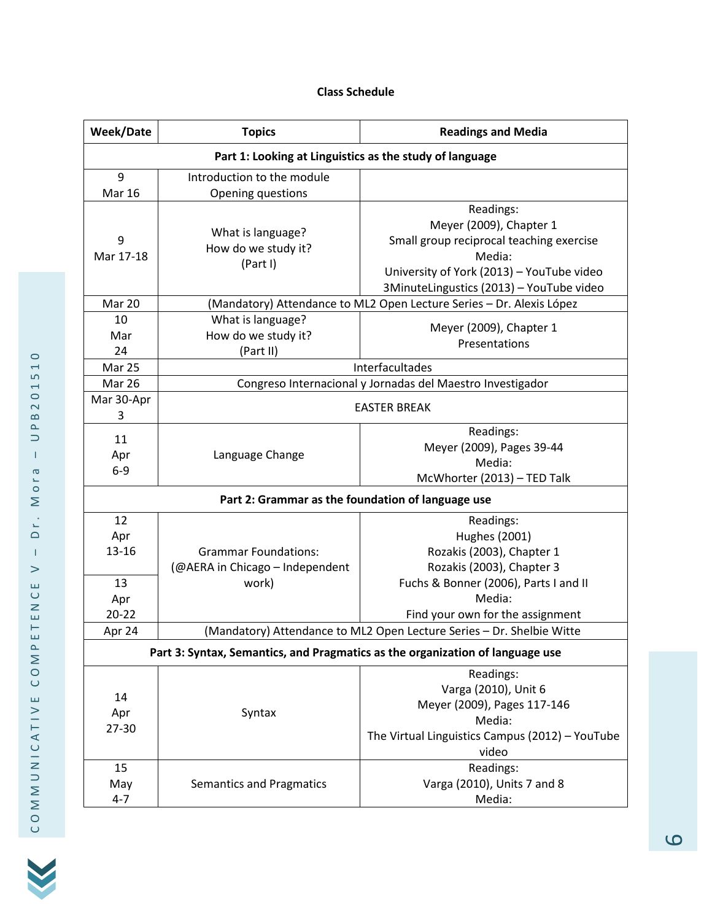# **Class Schedule**

| Week/Date                                                                                                                                                        | <b>Topics</b>                                                        | <b>Readings and Media</b>                                                                                                                                                           |  |
|------------------------------------------------------------------------------------------------------------------------------------------------------------------|----------------------------------------------------------------------|-------------------------------------------------------------------------------------------------------------------------------------------------------------------------------------|--|
| Part 1: Looking at Linguistics as the study of language                                                                                                          |                                                                      |                                                                                                                                                                                     |  |
| 9<br><b>Mar 16</b>                                                                                                                                               | Introduction to the module<br>Opening questions                      |                                                                                                                                                                                     |  |
| 9<br>Mar 17-18                                                                                                                                                   | What is language?<br>How do we study it?<br>(Part I)                 | Readings:<br>Meyer (2009), Chapter 1<br>Small group reciprocal teaching exercise<br>Media:<br>University of York (2013) - YouTube video<br>3MinuteLingustics (2013) - YouTube video |  |
| Mar 20                                                                                                                                                           | (Mandatory) Attendance to ML2 Open Lecture Series - Dr. Alexis López |                                                                                                                                                                                     |  |
| 10<br>Mar<br>24                                                                                                                                                  | What is language?<br>How do we study it?<br>(Part II)                | Meyer (2009), Chapter 1<br>Presentations                                                                                                                                            |  |
| Mar 25                                                                                                                                                           | Interfacultades                                                      |                                                                                                                                                                                     |  |
| Mar 26                                                                                                                                                           | Congreso Internacional y Jornadas del Maestro Investigador           |                                                                                                                                                                                     |  |
| Mar 30-Apr<br>3                                                                                                                                                  | <b>EASTER BREAK</b>                                                  |                                                                                                                                                                                     |  |
| 11<br>Apr<br>$6-9$                                                                                                                                               | Language Change                                                      | Readings:<br>Meyer (2009), Pages 39-44<br>Media:<br>McWhorter (2013) - TED Talk                                                                                                     |  |
| Part 2: Grammar as the foundation of language use                                                                                                                |                                                                      |                                                                                                                                                                                     |  |
| 12<br>Apr<br>13-16                                                                                                                                               | <b>Grammar Foundations:</b><br>(@AERA in Chicago - Independent       | Readings:<br>Hughes (2001)<br>Rozakis (2003), Chapter 1<br>Rozakis (2003), Chapter 3                                                                                                |  |
| 13<br>Apr                                                                                                                                                        | work)                                                                | Fuchs & Bonner (2006), Parts I and II<br>Media:                                                                                                                                     |  |
| $20 - 22$                                                                                                                                                        |                                                                      | Find your own for the assignment                                                                                                                                                    |  |
| (Mandatory) Attendance to ML2 Open Lecture Series - Dr. Shelbie Witte<br>Apr 24<br>Part 3: Syntax, Semantics, and Pragmatics as the organization of language use |                                                                      |                                                                                                                                                                                     |  |
|                                                                                                                                                                  |                                                                      | Readings:<br>Varga (2010), Unit 6                                                                                                                                                   |  |
| 14<br>Apr<br>27-30                                                                                                                                               | Syntax                                                               | Meyer (2009), Pages 117-146<br>Media:<br>The Virtual Linguistics Campus (2012) - YouTube<br>video                                                                                   |  |
| 15<br>May<br>$4 - 7$                                                                                                                                             | <b>Semantics and Pragmatics</b>                                      | Readings:<br>Varga (2010), Units 7 and 8<br>Media:                                                                                                                                  |  |

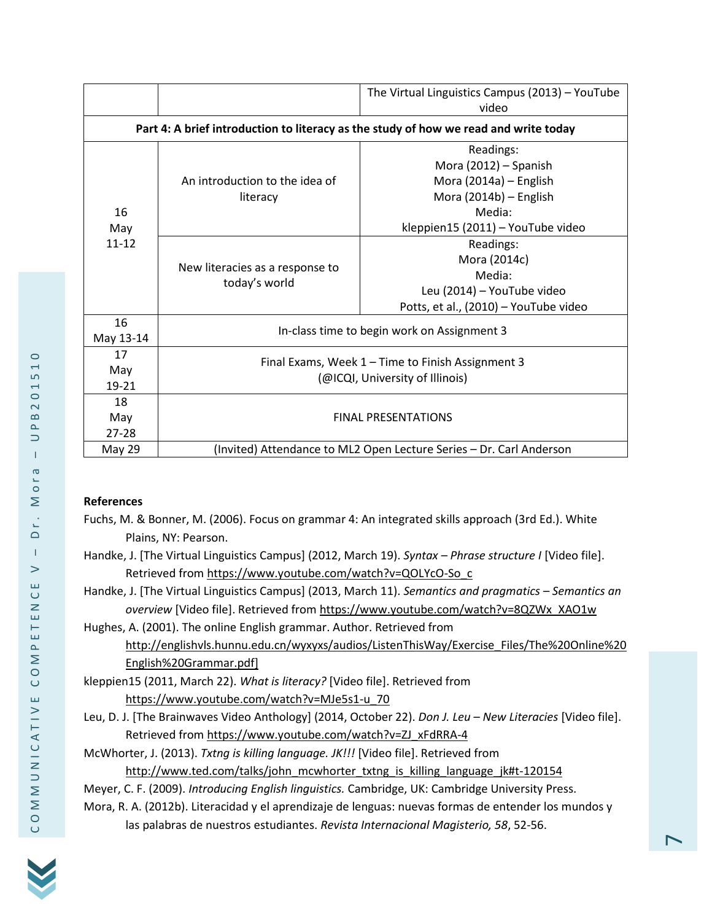|                                                                                      |                                                                                      | The Virtual Linguistics Campus (2013) - YouTube<br>video                                                                              |  |
|--------------------------------------------------------------------------------------|--------------------------------------------------------------------------------------|---------------------------------------------------------------------------------------------------------------------------------------|--|
| Part 4: A brief introduction to literacy as the study of how we read and write today |                                                                                      |                                                                                                                                       |  |
| 16<br>May<br>$11 - 12$                                                               | An introduction to the idea of<br>literacy                                           | Readings:<br>Mora (2012) - Spanish<br>Mora (2014a) - English<br>Mora (2014b) - English<br>Media:<br>kleppien15 (2011) - YouTube video |  |
|                                                                                      | New literacies as a response to<br>today's world                                     | Readings:<br>Mora (2014c)<br>Media:<br>Leu (2014) - YouTube video<br>Potts, et al., (2010) - YouTube video                            |  |
| 16<br>May 13-14                                                                      | In-class time to begin work on Assignment 3                                          |                                                                                                                                       |  |
| 17<br>May<br>19-21                                                                   | Final Exams, Week 1 – Time to Finish Assignment 3<br>(@ICQI, University of Illinois) |                                                                                                                                       |  |
| 18<br>May<br>$27 - 28$                                                               | <b>FINAL PRESENTATIONS</b>                                                           |                                                                                                                                       |  |
| <b>May 29</b>                                                                        | (Invited) Attendance to ML2 Open Lecture Series - Dr. Carl Anderson                  |                                                                                                                                       |  |

## **References**

- Fuchs, M. & Bonner, M. (2006). Focus on grammar 4: An integrated skills approach (3rd Ed.). White Plains, NY: Pearson.
- Handke, J. [The Virtual Linguistics Campus] (2012, March 19). *Syntax – Phrase structure I* [Video file]. Retrieved from https://www.youtube.com/watch?v=QOLYcO-So\_c
- Handke, J. [The Virtual Linguistics Campus] (2013, March 11). *Semantics and pragmatics – Semantics an overview* [Video file]. Retrieved from https://www.youtube.com/watch?v=8QZWx\_XAO1w
- Hughes, A. (2001). The online English grammar. Author. Retrieved from http://englishvls.hunnu.edu.cn/wyxyxs/audios/ListenThisWay/Exercise\_Files/The%20Online%20 English%20Grammar.pdf]
- kleppien15 (2011, March 22). *What is literacy?* [Video file]. Retrieved from https://www.youtube.com/watch?v=MJe5s1-u\_70
- Leu, D. J. [The Brainwaves Video Anthology] (2014, October 22). *Don J. Leu – New Literacies* [Video file]. Retrieved from https://www.youtube.com/watch?v=ZJ\_xFdRRA-4

McWhorter, J. (2013). *Txtng is killing language. JK!!!* [Video file]. Retrieved from http://www.ted.com/talks/john\_mcwhorter\_txtng\_is\_killing\_language\_jk#t-120154

- Meyer, C. F. (2009). *Introducing English linguistics.* Cambridge, UK: Cambridge University Press.
- Mora, R. A. (2012b). Literacidad y el aprendizaje de lenguas: nuevas formas de entender los mundos y las palabras de nuestros estudiantes. *Revista Internacional Magisterio, 58*, 52-56.

NICATIV

– D r . M o r a

– U P B 2 0 1 5 1 0

 $\circ$  $\overline{ }$ LŊ  $\overline{\phantom{0}}$  $\circ$  $\sim$  $\overline{a}$  $\Delta$  $\Rightarrow$  $\mathbf{I}$  $\sigma$  $\circ$ Σ Ċ,  $\Box$  $\mathbf{I}$  $\geq$ Ш  $\cup$  $\geq$ Ш Ш  $\mathbf{r}$ Σ  $\overline{C}$ Ш